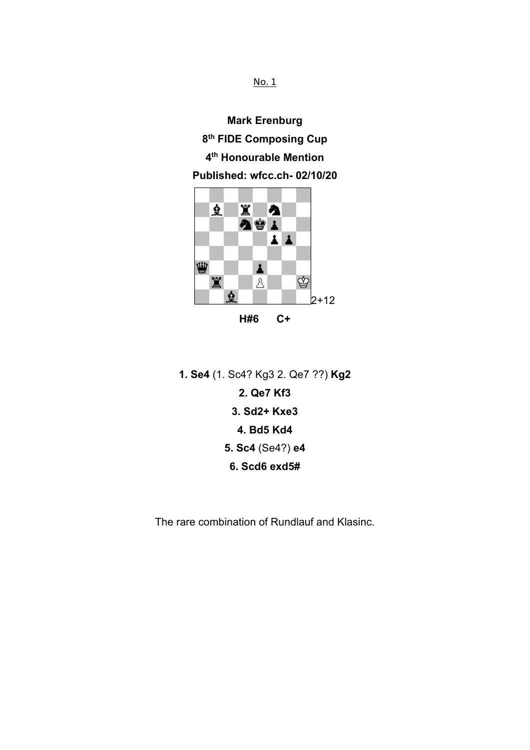No. 1

**Mark Erenburg 8 th FIDE Composing Cup 4 th Honourable Mention Published: wfcc.ch- 02/10/20**



**1. Se4** (1. Sc4? Kg3 2. Qe7 ??) **Kg2 2. Qe7 Kf3 3. Sd2+ Kxe3 4. Bd5 Kd4 5. Sc4** (Se4?) **e4 6. Scd6 exd5#**

The rare combination of Rundlauf and Klasinc.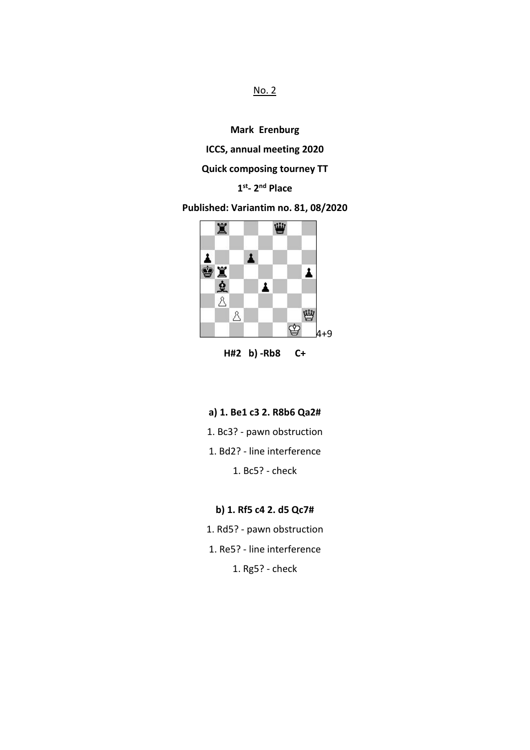### No. 2

**Mark Erenburg**

**ICCS, annual meeting 2020**

## **Quick composing tourney TT**

### **1 st- 2 nd Place**

## **Published: Variantim no. 81, 08/2020**



**H#2 b) -Rb8 C+**

- **a) 1. Be1 c3 2. R8b6 Qa2#**
- 1. Bc3? pawn obstruction
- 1. Bd2? line interference

1. Bc5? - check

### **b) 1. Rf5 c4 2. d5 Qc7#**

- 1. Rd5? pawn obstruction
- 1. Re5? line interference
	- 1. Rg5? check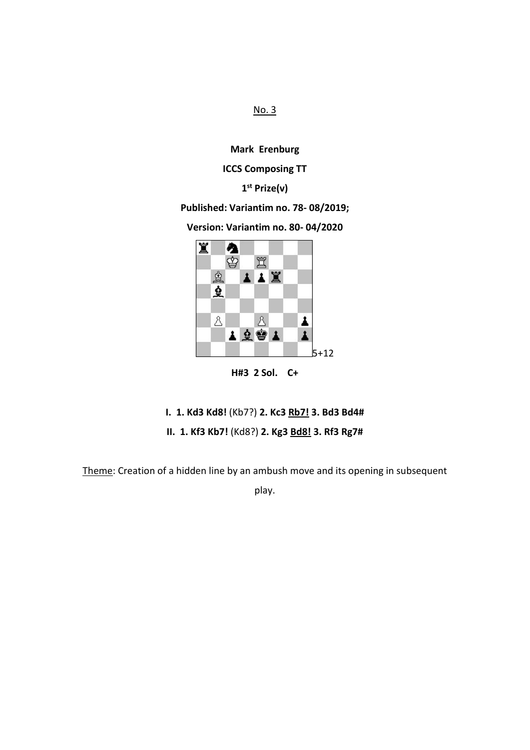No. 3

**Mark Erenburg**

### **ICCS Composing TT**

### **1 st Prize(v)**

### **Published: Variantim no. 78- 08/2019;**

**Version: Variantim no. 80- 04/2020**



**H#3 2 Sol. C+**

# **I. 1. Kd3 Kd8!** (Kb7?) **2. Kc3 Rb7! 3. Bd3 Bd4#**

# **II. 1. Kf3 Kb7!** (Kd8?) **2. Kg3 Bd8! 3. Rf3 Rg7#**

Theme: Creation of a hidden line by an ambush move and its opening in subsequent

play.